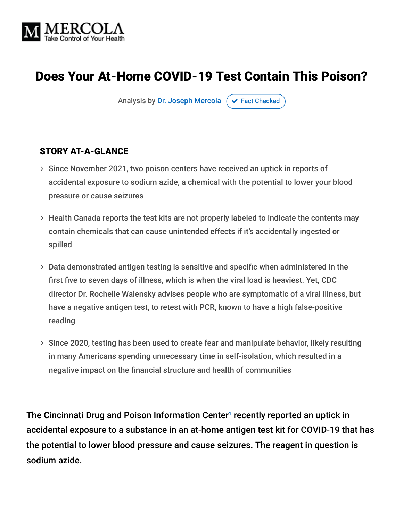

# Does Your At-Home COVID-19 Test Contain This Poison?

Analysis by [Dr. Joseph Mercola](https://www.mercola.com/forms/background.htm)  $\sigma$  [Fact Checked](javascript:void(0))

#### STORY AT-A-GLANCE

- > Since November 2021, two poison centers have received an uptick in reports of accidental exposure to sodium azide, a chemical with the potential to lower your blood pressure or cause seizures
- Health Canada reports the test kits are not properly labeled to indicate the contents may contain chemicals that can cause unintended effects if it's accidentally ingested or spilled
- $>$  Data demonstrated antigen testing is sensitive and specific when administered in the first five to seven days of illness, which is when the viral load is heaviest. Yet, CDC director Dr. Rochelle Walensky advises people who are symptomatic of a viral illness, but have a negative antigen test, to retest with PCR, known to have a high false-positive reading
- $>$  Since 2020, testing has been used to create fear and manipulate behavior, likely resulting in many Americans spending unnecessary time in self-isolation, which resulted in a negative impact on the financial structure and health of communities

The Cincinnati Drug and Poison Information Center<sup>1</sup> recently reported an uptick in accidental exposure to a substance in an at-home antigen test kit for COVID-19 that has the potential to lower blood pressure and cause seizures. The reagent in question is sodium azide.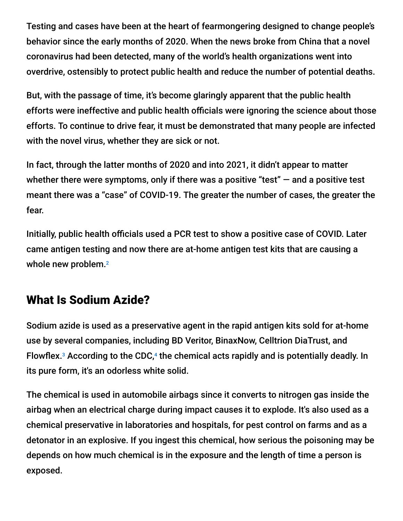Testing and cases have been at the heart of fearmongering designed to change people's behavior since the early months of 2020. When the news broke from China that a novel coronavirus had been detected, many of the world's health organizations went into overdrive, ostensibly to protect public health and reduce the number of potential deaths.

But, with the passage of time, it's become glaringly apparent that the public health efforts were ineffective and public health officials were ignoring the science about those efforts. To continue to drive fear, it must be demonstrated that many people are infected with the novel virus, whether they are sick or not.

In fact, through the latter months of 2020 and into 2021, it didn't appear to matter whether there were symptoms, only if there was a positive "test"  $-$  and a positive test meant there was a "case" of COVID-19. The greater the number of cases, the greater the fear.

Initially, public health officials used a PCR test to show a positive case of COVID. Later came antigen testing and now there are at-home antigen test kits that are causing a whole new problem.<sup>2</sup>

# What Is Sodium Azide?

Sodium azide is used as a preservative agent in the rapid antigen kits sold for at-home use by several companies, including BD Veritor, BinaxNow, Celltrion DiaTrust, and Flowflex. $3$  According to the CDC, $4$  the chemical acts rapidly and is potentially deadly. In its pure form, it's an odorless white solid.

The chemical is used in automobile airbags since it converts to nitrogen gas inside the airbag when an electrical charge during impact causes it to explode. It's also used as a chemical preservative in laboratories and hospitals, for pest control on farms and as a detonator in an explosive. If you ingest this chemical, how serious the poisoning may be depends on how much chemical is in the exposure and the length of time a person is exposed.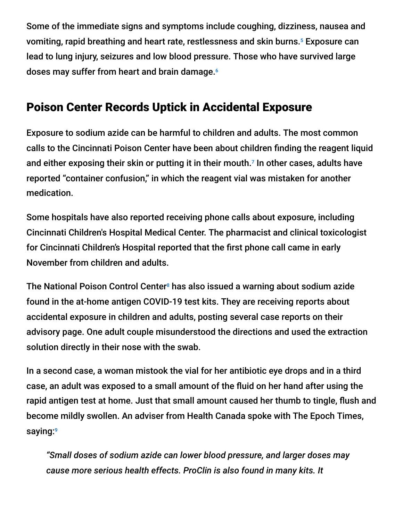Some of the immediate signs and symptoms include coughing, dizziness, nausea and vomiting, rapid breathing and heart rate, restlessness and skin burns.<sup>5</sup> Exposure can lead to lung injury, seizures and low blood pressure. Those who have survived large doses may suffer from heart and brain damage. 6

## Poison Center Records Uptick in Accidental Exposure

Exposure to sodium azide can be harmful to children and adults. The most common calls to the Cincinnati Poison Center have been about children finding the reagent liquid and either exposing their skin or putting it in their mouth. $^7$  In other cases, adults have reported "container confusion," in which the reagent vial was mistaken for another medication.

Some hospitals have also reported receiving phone calls about exposure, including Cincinnati Children's Hospital Medical Center. The pharmacist and clinical toxicologist for Cincinnati Children's Hospital reported that the first phone call came in early November from children and adults.

The National Poison Control Center<sup>8</sup> has also issued a warning about sodium azide found in the at-home antigen COVID-19 test kits. They are receiving reports about accidental exposure in children and adults, posting several case reports on their advisory page. One adult couple misunderstood the directions and used the extraction solution directly in their nose with the swab.

In a second case, a woman mistook the vial for her antibiotic eye drops and in a third case, an adult was exposed to a small amount of the fluid on her hand after using the rapid antigen test at home. Just that small amount caused her thumb to tingle, flush and become mildly swollen. An adviser from Health Canada spoke with The Epoch Times, saying: 9

*"Small doses of sodium azide can lower blood pressure, and larger doses may cause more serious health effects. ProClin is also found in many kits. It*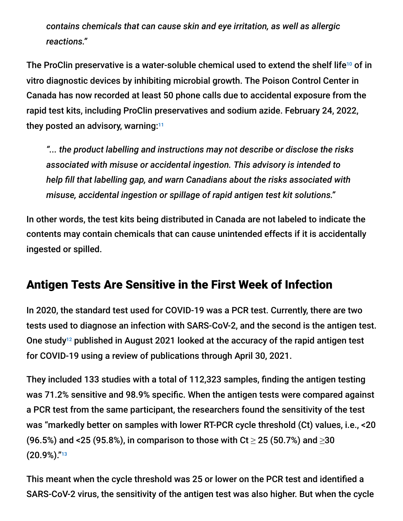*contains chemicals that can cause skin and eye irritation, as well as allergic reactions."*

The ProClin preservative is a water-soluble chemical used to extend the shelf life<sup>10</sup> of in vitro diagnostic devices by inhibiting microbial growth. The Poison Control Center in Canada has now recorded at least 50 phone calls due to accidental exposure from the rapid test kits, including ProClin preservatives and sodium azide. February 24, 2022, they posted an advisory, warning: 11

*"... the product labelling and instructions may not describe or disclose the risks associated with misuse or accidental ingestion. This advisory is intended to help fill that labelling gap, and warn Canadians about the risks associated with misuse, accidental ingestion or spillage of rapid antigen test kit solutions."*

In other words, the test kits being distributed in Canada are not labeled to indicate the contents may contain chemicals that can cause unintended effects if it is accidentally ingested or spilled.

### Antigen Tests Are Sensitive in the First Week of Infection

In 2020, the standard test used for COVID-19 was a PCR test. Currently, there are two tests used to diagnose an infection with SARS-CoV-2, and the second is the antigen test. One study<sup>12</sup> published in August 2021 looked at the accuracy of the rapid antigen test for COVID-19 using a review of publications through April 30, 2021.

They included 133 studies with a total of 112,323 samples, finding the antigen testing was 71.2% sensitive and 98.9% specific. When the antigen tests were compared against a PCR test from the same participant, the researchers found the sensitivity of the test was "markedly better on samples with lower RT-PCR cycle threshold (Ct) values, i.e., <20 (96.5%) and <25 (95.8%), in comparison to those with Ct  $\geq$  25 (50.7%) and  $\geq$ 30 (20.9%)." 13

This meant when the cycle threshold was 25 or lower on the PCR test and identified a SARS-CoV-2 virus, the sensitivity of the antigen test was also higher. But when the cycle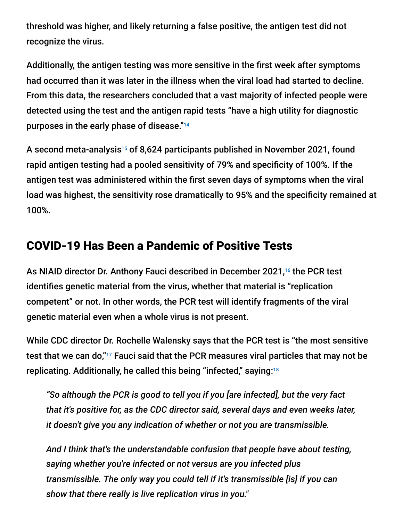threshold was higher, and likely returning a false positive, the antigen test did not recognize the virus.

Additionally, the antigen testing was more sensitive in the first week after symptoms had occurred than it was later in the illness when the viral load had started to decline. From this data, the researchers concluded that a vast majority of infected people were detected using the test and the antigen rapid tests "have a high utility for diagnostic purposes in the early phase of disease." 14

A second meta-analysis<sup>15</sup> of 8,624 participants published in November 2021, found rapid antigen testing had a pooled sensitivity of 79% and specificity of 100%. If the antigen test was administered within the first seven days of symptoms when the viral load was highest, the sensitivity rose dramatically to 95% and the specificity remained at 100%.

### COVID-19 Has Been a Pandemic of Positive Tests

As NIAID director Dr. Anthony Fauci described in December 2021,<sup>16</sup> the PCR test identifies genetic material from the virus, whether that material is "replication competent" or not. In other words, the PCR test will identify fragments of the viral genetic material even when a whole virus is not present.

While CDC director Dr. Rochelle Walensky says that the PCR test is "the most sensitive test that we can do," $^{17}$  Fauci said that the PCR measures viral particles that may not be replicating. Additionally, he called this being "infected," saying: 18

*"So although the PCR is good to tell you if you [are infected], but the very fact that it's positive for, as the CDC director said, several days and even weeks later, it doesn't give you any indication of whether or not you are transmissible.*

*And I think that's the understandable confusion that people have about testing, saying whether you're infected or not versus are you infected plus transmissible. The only way you could tell if it's transmissible [is] if you can show that there really is live replication virus in you."*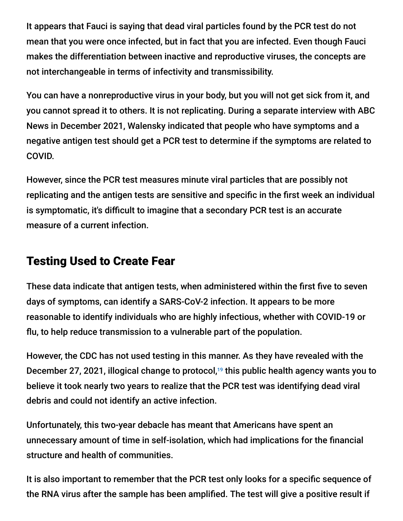It appears that Fauci is saying that dead viral particles found by the PCR test do not mean that you were once infected, but in fact that you are infected. Even though Fauci makes the differentiation between inactive and reproductive viruses, the concepts are not interchangeable in terms of infectivity and transmissibility.

You can have a nonreproductive virus in your body, but you will not get sick from it, and you cannot spread it to others. It is not replicating. During a separate interview with ABC News in December 2021, Walensky indicated that people who have symptoms and a negative antigen test should get a PCR test to determine if the symptoms are related to COVID.

However, since the PCR test measures minute viral particles that are possibly not replicating and the antigen tests are sensitive and specific in the first week an individual is symptomatic, it's difficult to imagine that a secondary PCR test is an accurate measure of a current infection.

### Testing Used to Create Fear

These data indicate that antigen tests, when administered within the first five to seven days of symptoms, can identify a SARS-CoV-2 infection. It appears to be more reasonable to identify individuals who are highly infectious, whether with COVID-19 or flu, to help reduce transmission to a vulnerable part of the population.

However, the CDC has not used testing in this manner. As they have revealed with the December 27, 2021, illogical change to protocol,<sup>19</sup> this public health agency wants you to believe it took nearly two years to realize that the PCR test was identifying dead viral debris and could not identify an active infection.

Unfortunately, this two-year debacle has meant that Americans have spent an unnecessary amount of time in self-isolation, which had implications for the financial structure and health of communities.

It is also important to remember that the PCR test only looks for a specific sequence of the RNA virus after the sample has been amplified. The test will give a positive result if